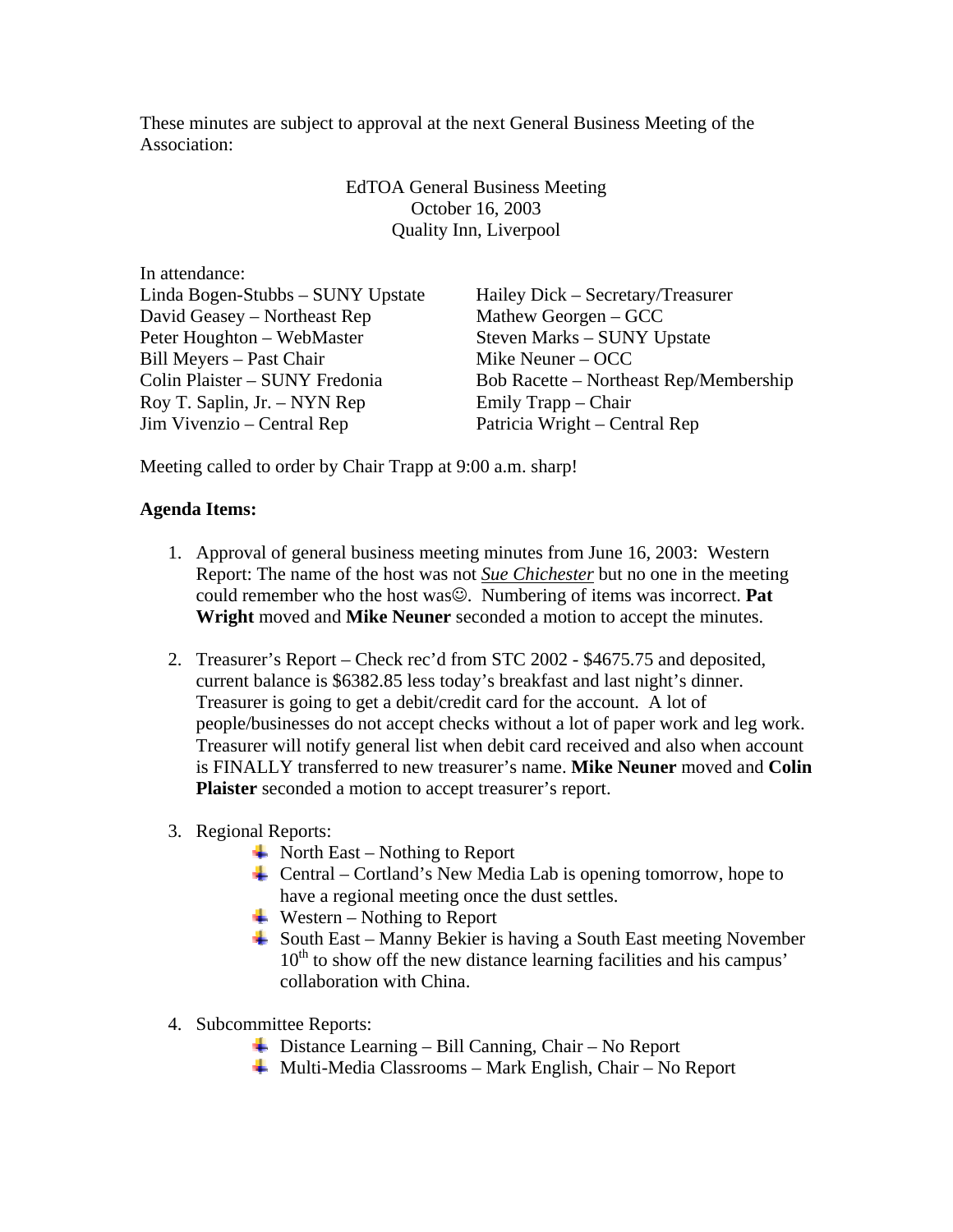These minutes are subject to approval at the next General Business Meeting of the Association:

> EdTOA General Business Meeting October 16, 2003 Quality Inn, Liverpool

In attendance: Linda Bogen-Stubbs – SUNY Upstate Hailey Dick – Secretary/Treasurer David Geasey – Northeast Rep Mathew Georgen – GCC Peter Houghton – WebMaster Steven Marks – SUNY Upstate Bill Meyers – Past Chair Mike Neuner – OCC Roy T. Saplin, Jr. – NYN Rep Emily Trapp – Chair Jim Vivenzio – Central Rep Patricia Wright – Central Rep

Colin Plaister – SUNY Fredonia Bob Racette – Northeast Rep/Membership

Meeting called to order by Chair Trapp at 9:00 a.m. sharp!

## **Agenda Items:**

- 1. Approval of general business meeting minutes from June 16, 2003: Western Report: The name of the host was not *Sue Chichester* but no one in the meeting could remember who the host was☺. Numbering of items was incorrect. **Pat Wright** moved and **Mike Neuner** seconded a motion to accept the minutes.
- 2. Treasurer's Report Check rec'd from STC 2002 \$4675.75 and deposited, current balance is \$6382.85 less today's breakfast and last night's dinner. Treasurer is going to get a debit/credit card for the account. A lot of people/businesses do not accept checks without a lot of paper work and leg work. Treasurer will notify general list when debit card received and also when account is FINALLY transferred to new treasurer's name. **Mike Neuner** moved and **Colin Plaister** seconded a motion to accept treasurer's report.

## 3. Regional Reports:

- $\blacktriangle$  North East Nothing to Report
- Central Cortland's New Media Lab is opening tomorrow, hope to have a regional meeting once the dust settles.
- $\blacksquare$  Western Nothing to Report
- South East Manny Bekier is having a South East meeting November  $10<sup>th</sup>$  to show off the new distance learning facilities and his campus' collaboration with China.
- 4. Subcommittee Reports:
	- Distance Learning Bill Canning, Chair No Report
	- Multi-Media Classrooms Mark English, Chair No Report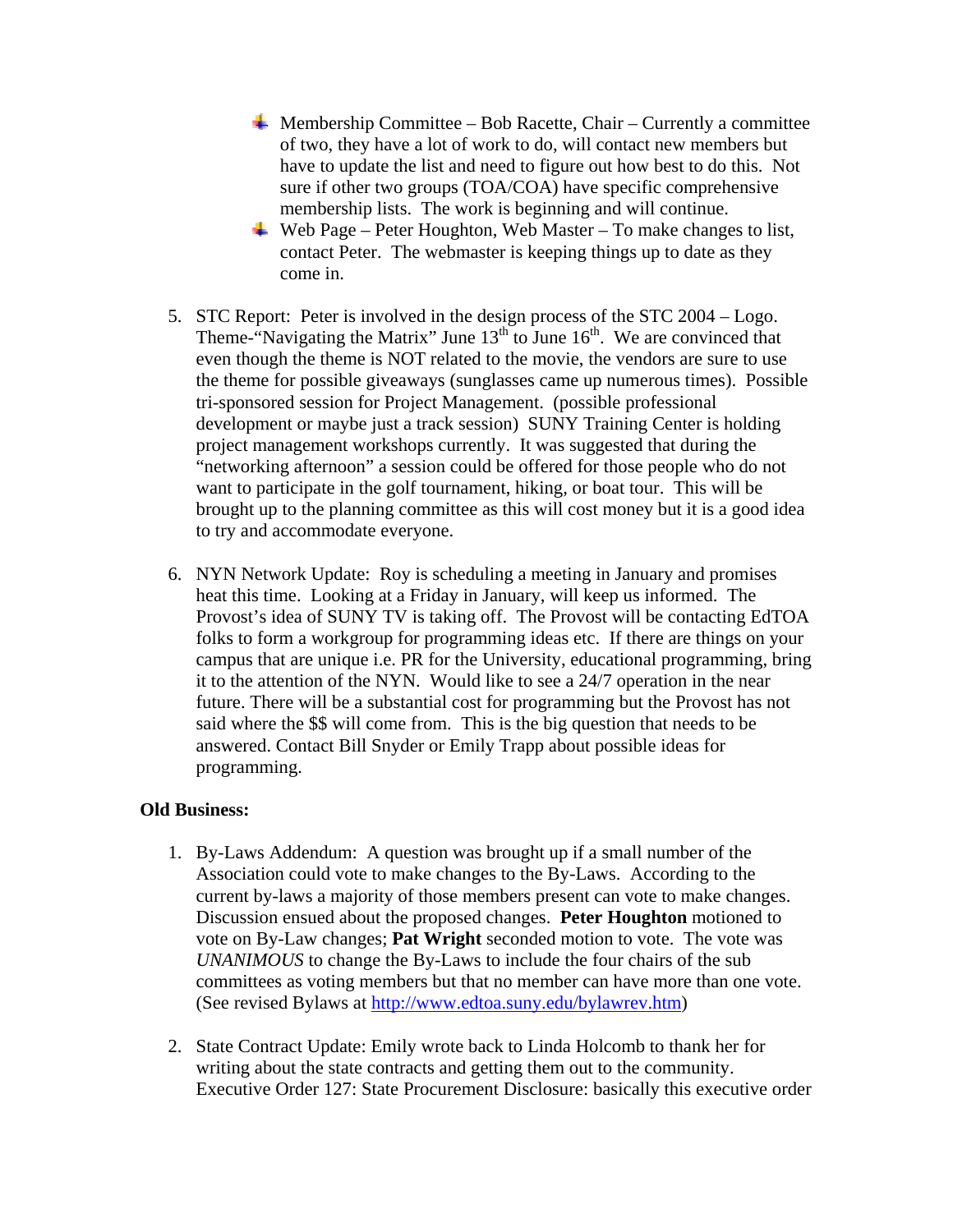- $\overline{\phantom{a}}$  Membership Committee Bob Racette, Chair Currently a committee of two, they have a lot of work to do, will contact new members but have to update the list and need to figure out how best to do this. Not sure if other two groups (TOA/COA) have specific comprehensive membership lists. The work is beginning and will continue.
- Web Page Peter Houghton, Web Master To make changes to list, contact Peter. The webmaster is keeping things up to date as they come in.
- 5. STC Report: Peter is involved in the design process of the STC 2004 Logo. Theme-"Navigating the Matrix" June  $13<sup>th</sup>$  to June  $16<sup>th</sup>$ . We are convinced that even though the theme is NOT related to the movie, the vendors are sure to use the theme for possible giveaways (sunglasses came up numerous times). Possible tri-sponsored session for Project Management. (possible professional development or maybe just a track session) SUNY Training Center is holding project management workshops currently. It was suggested that during the "networking afternoon" a session could be offered for those people who do not want to participate in the golf tournament, hiking, or boat tour. This will be brought up to the planning committee as this will cost money but it is a good idea to try and accommodate everyone.
- 6. NYN Network Update: Roy is scheduling a meeting in January and promises heat this time. Looking at a Friday in January, will keep us informed. The Provost's idea of SUNY TV is taking off. The Provost will be contacting EdTOA folks to form a workgroup for programming ideas etc. If there are things on your campus that are unique i.e. PR for the University, educational programming, bring it to the attention of the NYN. Would like to see a 24/7 operation in the near future. There will be a substantial cost for programming but the Provost has not said where the \$\$ will come from. This is the big question that needs to be answered. Contact Bill Snyder or Emily Trapp about possible ideas for programming.

## **Old Business:**

- 1. By-Laws Addendum: A question was brought up if a small number of the Association could vote to make changes to the By-Laws. According to the current by-laws a majority of those members present can vote to make changes. Discussion ensued about the proposed changes. **Peter Houghton** motioned to vote on By-Law changes; **Pat Wright** seconded motion to vote. The vote was *UNANIMOUS* to change the By-Laws to include the four chairs of the sub committees as voting members but that no member can have more than one vote. (See revised Bylaws at [http://www.edtoa.suny.edu/bylawrev.htm\)](http://www.edtoa.suny.edu/bylawrev.htm)
- 2. State Contract Update: Emily wrote back to Linda Holcomb to thank her for writing about the state contracts and getting them out to the community. Executive Order 127: State Procurement Disclosure: basically this executive order